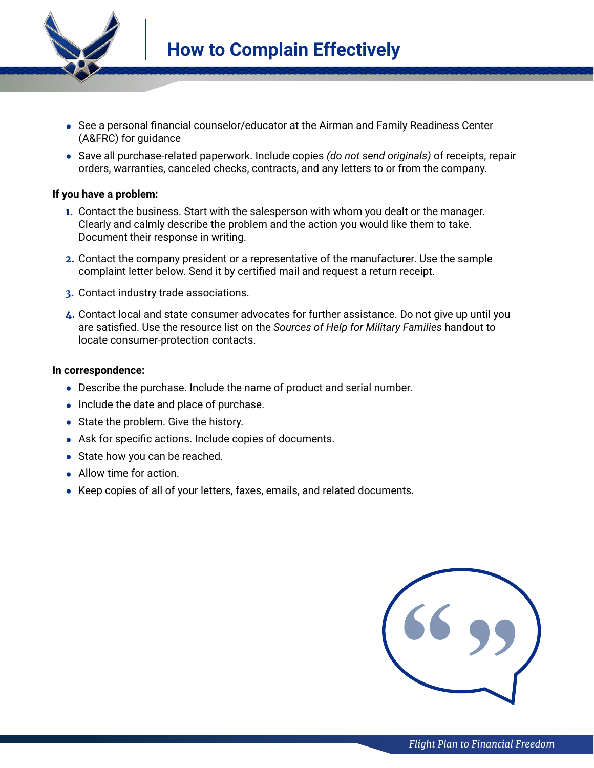

- **•** See a personal financial counselor/educator at the Airman and Family Readiness Center (A&FRC) for guidance
- **•** Save all purchase-related paperwork. Include copies *(do not send originals)* of receipts, repair orders, warranties, canceled checks, contracts, and any letters to or from the company.

## **If you have a problem:**

- **1.** Contact the business. Start with the salesperson with whom you dealt or the manager. Clearly and calmly describe the problem and the action you would like them to take. Document their response in writing.
- **2.** Contact the company president or a representative of the manufacturer. Use the sample complaint letter below. Send it by certified mail and request a return receipt.
- **3.** Contact industry trade associations.
- **4.** Contact local and state consumer advocates for further assistance. Do not give up until you are satisfied. Use the resource list on the *Sources of Help for Military Families* handout to locate consumer-protection contacts.

## **In correspondence:**

- **•** Describe the purchase. Include the name of product and serial number.
- **•** Include the date and place of purchase.
- **•** State the problem. Give the history.
- **•** Ask for specific actions. Include copies of documents.
- **•** State how you can be reached.
- **•** Allow time for action.
- **•** Keep copies of all of your letters, faxes, emails, and related documents.